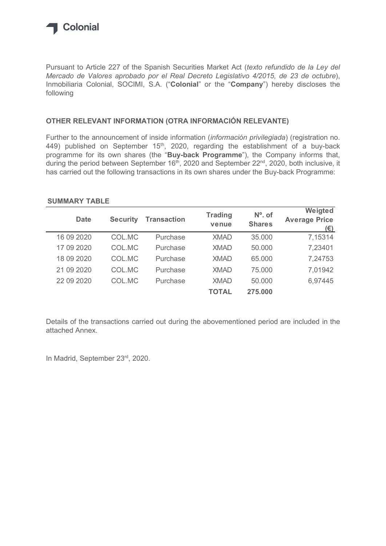

## OTHER RELEVANT INFORMATION (OTRA INFORMACIÓN RELEVANTE)

### SUMMARY TABLE

| following            |                 |                                                         |                         |                            | Mercado de Valores aprobado por el Real Decreto Legislativo 4/2015, de 23 de octubre),<br>Inmobiliaria Colonial, SOCIMI, S.A. ("Colonial" or the "Company") hereby discloses the                                                                                                                              |
|----------------------|-----------------|---------------------------------------------------------|-------------------------|----------------------------|---------------------------------------------------------------------------------------------------------------------------------------------------------------------------------------------------------------------------------------------------------------------------------------------------------------|
|                      |                 | OTHER RELEVANT INFORMATION (OTRA INFORMACIÓN RELEVANTE) |                         |                            |                                                                                                                                                                                                                                                                                                               |
|                      |                 |                                                         |                         |                            | 449) published on September 15 <sup>th</sup> , 2020, regarding the establishment of a buy-back<br>programme for its own shares (the "Buy-back Programme"), the Company informs that,<br>during the period between September 16 <sup>th</sup> , 2020 and September 22 <sup>nd</sup> , 2020, both inclusive, it |
| <b>SUMMARY TABLE</b> |                 |                                                         |                         |                            | has carried out the following transactions in its own shares under the Buy-back Programme:<br>Weigted                                                                                                                                                                                                         |
| <b>Date</b>          | <b>Security</b> | <b>Transaction</b>                                      | <b>Trading</b><br>venue | $No$ . of<br><b>Shares</b> | <b>Average Price</b>                                                                                                                                                                                                                                                                                          |
| 16 09 20 20          | COL.MC          | Purchase                                                | <b>XMAD</b>             | 35.000                     | $(\epsilon)$<br>7,15314                                                                                                                                                                                                                                                                                       |
| 17 09 2020           | COL.MC          | Purchase                                                | <b>XMAD</b>             | 50.000                     | 7,23401                                                                                                                                                                                                                                                                                                       |
| 18 09 20 20          | COL.MC          | Purchase                                                | <b>XMAD</b>             | 65.000                     | 7,24753                                                                                                                                                                                                                                                                                                       |
| 21 09 2020           | COL.MC          | Purchase                                                | <b>XMAD</b>             | 75.000                     | 7,01942                                                                                                                                                                                                                                                                                                       |
| 22 09 2020           | COL.MC          | Purchase                                                | <b>XMAD</b>             | 50.000                     | 6,97445                                                                                                                                                                                                                                                                                                       |

Details of the transactions carried out during the abovementioned period are included in the attached Annex.

In Madrid, September 23rd, 2020.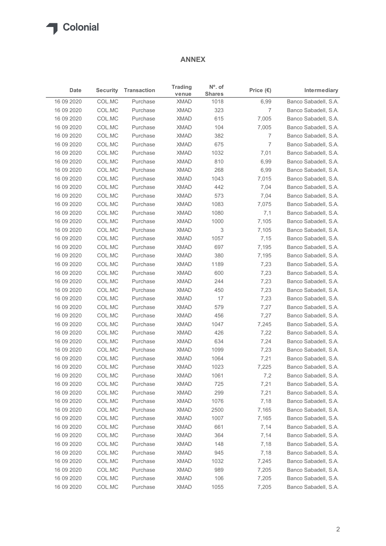## ANNEX

|                          |                  |                      | <b>ANNEX</b>               |                       |                     |                                              |
|--------------------------|------------------|----------------------|----------------------------|-----------------------|---------------------|----------------------------------------------|
| Date                     | <b>Security</b>  | <b>Transaction</b>   | <b>Trading</b>             | $No$ . of             | Price $(\epsilon)$  | Intermediary                                 |
| 16 09 2020               | COL.MC           | Purchase             | venue<br><b>XMAD</b>       | <b>Shares</b><br>1018 | 6,99                | Banco Sabadell, S.A.                         |
| 16 09 2020               | COL.MC           | Purchase             | <b>XMAD</b>                | 323                   | $\overline{7}$      | Banco Sabadell, S.A.                         |
| 16 09 2020               | COL.MC           | Purchase             | <b>XMAD</b>                | 615                   | 7,005               | Banco Sabadell, S.A.                         |
| 16 09 2020               | COL.MC           | Purchase             | <b>XMAD</b>                | 104                   | 7,005               | Banco Sabadell, S.A.                         |
| 16 09 2020<br>16 09 2020 | COL.MC<br>COL.MC | Purchase<br>Purchase | <b>XMAD</b><br><b>XMAD</b> | 382<br>675            | 7<br>$\overline{7}$ | Banco Sabadell, S.A.<br>Banco Sabadell, S.A. |
| 16 09 2020               | COL.MC           | Purchase             | <b>XMAD</b>                | 1032                  | 7,01                | Banco Sabadell, S.A.                         |
| 16 09 2020               | COL.MC           | Purchase             | <b>XMAD</b>                | 810                   | 6,99                | Banco Sabadell, S.A.                         |
| 16 09 2020               | COL.MC           | Purchase             | <b>XMAD</b>                | 268                   | 6,99                | Banco Sabadell, S.A.                         |
| 16 09 2020               | COL.MC           | Purchase             | <b>XMAD</b>                | 1043                  | 7,015               | Banco Sabadell, S.A.                         |
| 16 09 2020               | COL.MC           | Purchase             | <b>XMAD</b>                | 442                   | 7,04                | Banco Sabadell, S.A.                         |
| 16 09 2020               | COL.MC           | Purchase             | <b>XMAD</b>                | 573                   | 7,04                | Banco Sabadell, S.A.                         |
| 16 09 2020               | COL.MC           | Purchase             | <b>XMAD</b>                | 1083                  | 7,075               | Banco Sabadell, S.A.                         |
| 16 09 2020<br>16 09 2020 | COL.MC<br>COL.MC | Purchase<br>Purchase | XMAD<br><b>XMAD</b>        | 1080<br>1000          | 7,1<br>7,105        | Banco Sabadell, S.A.<br>Banco Sabadell, S.A. |
| 16 09 2020               | COL.MC           | Purchase             | <b>XMAD</b>                | 3                     | 7,105               | Banco Sabadell, S.A.                         |
| 16 09 2020               | COL.MC           | Purchase             | <b>XMAD</b>                | 1057                  | 7,15                | Banco Sabadell, S.A.                         |
| 16 09 2020               | COL.MC           | Purchase             | <b>XMAD</b>                | 697                   | 7,195               | Banco Sabadell, S.A.                         |
| 16 09 2020               | COL.MC           | Purchase             | <b>XMAD</b>                | 380                   | 7,195               | Banco Sabadell, S.A.                         |
| 16 09 2020               | COL.MC           | Purchase             | <b>XMAD</b>                | 1189                  | 7,23                | Banco Sabadell, S.A.                         |
| 16 09 2020               | COL.MC           | Purchase             | <b>XMAD</b>                | 600                   | 7,23                | Banco Sabadell, S.A.                         |
| 16 09 2020               | COL.MC           | Purchase             | XMAD                       | 244                   | 7,23                | Banco Sabadell, S.A.                         |
| 16 09 2020               | COL.MC           | Purchase             | <b>XMAD</b>                | 450                   | 7,23                | Banco Sabadell, S.A.                         |
| 16 09 2020               | COL.MC           | Purchase             | <b>XMAD</b>                | 17                    | 7,23                | Banco Sabadell, S.A.                         |
| 16 09 2020<br>16 09 2020 | COL.MC<br>COL.MC | Purchase<br>Purchase | <b>XMAD</b><br><b>XMAD</b> | 579<br>456            | 7,27<br>7,27        | Banco Sabadell, S.A.<br>Banco Sabadell, S.A. |
| 16 09 2020               | COL.MC           | Purchase             | XMAD                       | 1047                  | 7,245               | Banco Sabadell, S.A.                         |
| 16 09 2020               | COL.MC           | Purchase             | <b>XMAD</b>                | 426                   | 7,22                | Banco Sabadell, S.A.                         |
| 16 09 2020               | COL.MC           | Purchase             | <b>XMAD</b>                | 634                   | 7,24                | Banco Sabadell, S.A.                         |
| 16 09 2020               | COL.MC           | Purchase             | <b>XMAD</b>                | 1099                  | 7,23                | Banco Sabadell, S.A.                         |
| 16 09 2020               | COL.MC           | Purchase             | <b>XMAD</b>                | 1064                  | 7,21                | Banco Sabadell, S.A.                         |
| 16 09 2020               | COL.MC           | Purchase             | XMAD                       | 1023                  | 7,225               | Banco Sabadell, S.A.                         |
| 16 09 2020               | COL.MC           | Purchase             | <b>XMAD</b>                | 1061                  | 7,2                 | Banco Sabadell, S.A.                         |
| 16 09 2020               | COL.MC           | Purchase             | <b>XMAD</b>                | 725                   | 7,21                | Banco Sabadell, S.A.                         |
| 16 09 2020               | COL.MC           | Purchase             | <b>XMAD</b>                | 299                   | 7,21                | Banco Sabadell, S.A.                         |
| 16 09 2020               | COL.MC           | Purchase             | <b>XMAD</b>                | 1076                  | 7,18                | Banco Sabadell, S.A.                         |
| 16 09 2020               | COL.MC           | Purchase             | XMAD<br><b>XMAD</b>        | 2500<br>1007          | 7,165               | Banco Sabadell, S.A.                         |
| 16 09 2020<br>16 09 2020 | COL.MC<br>COL.MC | Purchase<br>Purchase | <b>XMAD</b>                | 661                   | 7,165<br>7,14       | Banco Sabadell, S.A.<br>Banco Sabadell, S.A. |
| 16 09 2020               | COL.MC           | Purchase             | <b>XMAD</b>                | 364                   | 7,14                | Banco Sabadell, S.A.                         |
| 16 09 2020               | COL.MC           | Purchase             | <b>XMAD</b>                | 148                   | 7,18                | Banco Sabadell, S.A.                         |
| 16 09 2020               | COL.MC           | Purchase             | XMAD                       | 945                   | 7,18                | Banco Sabadell, S.A.                         |
| 16 09 2020               | COL.MC           | Purchase             | <b>XMAD</b>                | 1032                  | 7,245               | Banco Sabadell, S.A.                         |
| 16 09 2020               | COL.MC           | Purchase             | <b>XMAD</b>                | 989                   | 7,205               | Banco Sabadell, S.A.                         |
| 16 09 2020               | COL.MC           | Purchase             | <b>XMAD</b>                | 106                   | 7,205               | Banco Sabadell, S.A.                         |
| 16 09 2020               | COL.MC           | Purchase             | <b>XMAD</b>                | 1055                  | 7,205               | Banco Sabadell, S.A.                         |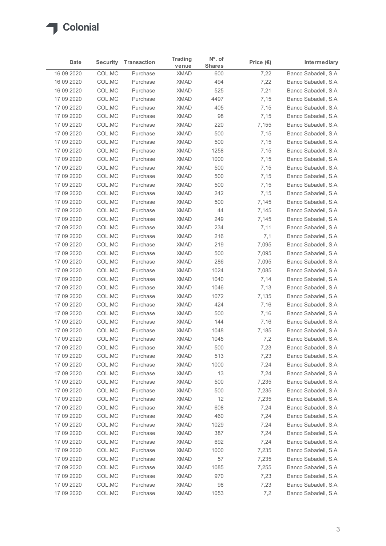

| Date                     | <b>Security</b>                                                    | <b>Transaction</b>   | <b>Trading</b><br>venue    | $No$ . of<br><b>Shares</b> | Price $(\epsilon)$ | Intermediary                                 |
|--------------------------|--------------------------------------------------------------------|----------------------|----------------------------|----------------------------|--------------------|----------------------------------------------|
| 16 09 2020               | COL.MC                                                             | Purchase             | <b>XMAD</b>                | 600                        | 7,22               | Banco Sabadell, S.A.                         |
| 16 09 2020               | COL.MC                                                             | Purchase             | <b>XMAD</b>                | 494                        | 7,22               | Banco Sabadell, S.A.                         |
| 16 09 2020               | COL.MC                                                             | Purchase             | <b>XMAD</b>                | 525                        | 7,21               | Banco Sabadell, S.A.                         |
| 17 09 2020<br>17 09 2020 | COL.MC<br>COL.MC                                                   | Purchase<br>Purchase | <b>XMAD</b><br><b>XMAD</b> | 4497<br>405                | 7,15               | Banco Sabadell, S.A.<br>Banco Sabadell, S.A. |
| 17 09 2020               | COL.MC                                                             | Purchase             | <b>XMAD</b>                | 98                         | 7,15<br>7,15       | Banco Sabadell, S.A.                         |
| 17 09 2020               | COL.MC                                                             | Purchase             | <b>XMAD</b>                | 220                        | 7,155              | Banco Sabadell, S.A.                         |
| 17 09 2020               | COL.MC                                                             | Purchase             | <b>XMAD</b>                | 500                        | 7,15               | Banco Sabadell, S.A.                         |
| 17 09 2020               | COL.MC                                                             | Purchase             | <b>XMAD</b>                | 500                        | 7,15               | Banco Sabadell, S.A.                         |
| 17 09 2020               | COL.MC                                                             | Purchase             | <b>XMAD</b>                | 1258                       | 7,15               | Banco Sabadell, S.A.                         |
| 17 09 2020               | COL.MC                                                             | Purchase             | <b>XMAD</b>                | 1000                       | 7,15               | Banco Sabadell, S.A.                         |
| 17 09 2020               | COL.MC                                                             | Purchase             | <b>XMAD</b>                | 500                        | 7,15               | Banco Sabadell, S.A.                         |
| 17 09 2020               | COL.MC                                                             | Purchase             | <b>XMAD</b>                | 500                        | 7,15               | Banco Sabadell, S.A.                         |
| 17 09 2020               | COL.MC                                                             | Purchase             | <b>XMAD</b>                | 500                        | 7,15               | Banco Sabadell, S.A.<br>Banco Sabadell, S.A. |
| 17 09 2020<br>17 09 2020 | COL.MC<br>COL.MC                                                   | Purchase<br>Purchase | <b>XMAD</b><br><b>XMAD</b> | 242<br>500                 | 7,15<br>7,145      | Banco Sabadell, S.A.                         |
| 17 09 2020               | COL.MC                                                             | Purchase             | <b>XMAD</b>                | 44                         | 7,145              | Banco Sabadell, S.A.                         |
| 17 09 2020               | COL.MC                                                             | Purchase             | <b>XMAD</b>                | 249                        | 7,145              | Banco Sabadell, S.A.                         |
| 17 09 2020               | COL.MC                                                             | Purchase             | <b>XMAD</b>                | 234                        | 7,11               | Banco Sabadell, S.A.                         |
| 17 09 2020               | $\ensuremath{\mathsf{COL}}\xspace.\ensuremath{\mathsf{MC}}\xspace$ | Purchase             | <b>XMAD</b>                | 216                        | 7,1                | Banco Sabadell, S.A.                         |
| 17 09 2020               | COL.MC                                                             | Purchase             | <b>XMAD</b>                | 219                        | 7,095              | Banco Sabadell, S.A.                         |
| 17 09 2020               | COL.MC                                                             | Purchase             | <b>XMAD</b>                | 500                        | 7,095              | Banco Sabadell, S.A.                         |
| 17 09 2020               | COL.MC                                                             | Purchase             | <b>XMAD</b>                | 286                        | 7,095              | Banco Sabadell, S.A.                         |
| 17 09 2020               | COL.MC                                                             | Purchase             | <b>XMAD</b>                | 1024                       | 7,085              | Banco Sabadell, S.A.                         |
| 17 09 2020               | COL.MC                                                             | Purchase             | <b>XMAD</b>                | 1040                       | 7,14               | Banco Sabadell, S.A.                         |
| 17 09 2020<br>17 09 2020 | COL.MC<br>COL.MC                                                   | Purchase<br>Purchase | <b>XMAD</b><br><b>XMAD</b> | 1046<br>1072               | 7,13<br>7,135      | Banco Sabadell, S.A.<br>Banco Sabadell, S.A. |
| 17 09 2020               | COL.MC                                                             | Purchase             | <b>XMAD</b>                | 424                        | 7,16               | Banco Sabadell, S.A.                         |
| 17 09 2020               | COL.MC                                                             | Purchase             | <b>XMAD</b>                | 500                        | 7,16               | Banco Sabadell, S.A.                         |
| 17 09 2020               | COL.MC                                                             | Purchase             | <b>XMAD</b>                | 144                        | 7,16               | Banco Sabadell, S.A.                         |
| 17 09 2020               | COL.MC                                                             | Purchase             | <b>XMAD</b>                | 1048                       | 7,185              | Banco Sabadell, S.A.                         |
| 17 09 2020               | COL.MC                                                             | Purchase             | <b>XMAD</b>                | 1045                       | 7,2                | Banco Sabadell, S.A.                         |
| 17 09 2020               | COL.MC                                                             | Purchase             | <b>XMAD</b>                | 500                        | 7,23               | Banco Sabadell, S.A.                         |
| 17 09 2020               | COL.MC                                                             | Purchase             | <b>XMAD</b>                | 513                        | 7,23               | Banco Sabadell, S.A.                         |
| 17 09 2020               | COL.MC                                                             | Purchase             | <b>XMAD</b>                | 1000                       | 7,24               | Banco Sabadell, S.A.                         |
| 17 09 2020               | COL.MC                                                             | Purchase             | <b>XMAD</b>                | 13                         | 7,24               | Banco Sabadell, S.A.                         |
| 17 09 2020               | COL.MC                                                             | Purchase             | <b>XMAD</b><br><b>XMAD</b> | 500<br>500                 | 7,235              | Banco Sabadell, S.A.                         |
| 17 09 2020<br>17 09 2020 | COL.MC<br>COL.MC                                                   | Purchase<br>Purchase | <b>XMAD</b>                | 12                         | 7,235<br>7,235     | Banco Sabadell, S.A.<br>Banco Sabadell, S.A. |
| 17 09 2020               | COL.MC                                                             | Purchase             | <b>XMAD</b>                | 608                        | 7,24               | Banco Sabadell, S.A.                         |
| 17 09 2020               | COL.MC                                                             | Purchase             | <b>XMAD</b>                | 460                        | 7,24               | Banco Sabadell, S.A.                         |
| 17 09 2020               | COL.MC                                                             | Purchase             | <b>XMAD</b>                | 1029                       | 7,24               | Banco Sabadell, S.A.                         |
| 17 09 2020               | COL.MC                                                             | Purchase             | <b>XMAD</b>                | 387                        | 7,24               | Banco Sabadell, S.A.                         |
| 17 09 2020               | COL.MC                                                             | Purchase             | <b>XMAD</b>                | 692                        | 7,24               | Banco Sabadell, S.A.                         |
| 17 09 2020               | COL.MC                                                             | Purchase             | <b>XMAD</b>                | 1000                       | 7,235              | Banco Sabadell, S.A.                         |
| 17 09 2020               | COL.MC                                                             | Purchase             | <b>XMAD</b>                | 57                         | 7,235              | Banco Sabadell, S.A.                         |
| 17 09 2020               | COL.MC                                                             | Purchase             | <b>XMAD</b>                | 1085                       | 7,255              | Banco Sabadell, S.A.                         |
| 17 09 2020               | COL.MC                                                             | Purchase             | XMAD                       | 970                        | 7,23               | Banco Sabadell, S.A.                         |
|                          | COL.MC                                                             | Purchase             | <b>XMAD</b>                | 98                         | 7,23               | Banco Sabadell, S.A.                         |
| 17 09 2020<br>17 09 2020 | COLMC                                                              | Purchase             | <b>XMAD</b>                | 1053                       | 7,2                | Banco Sabadell, S.A.                         |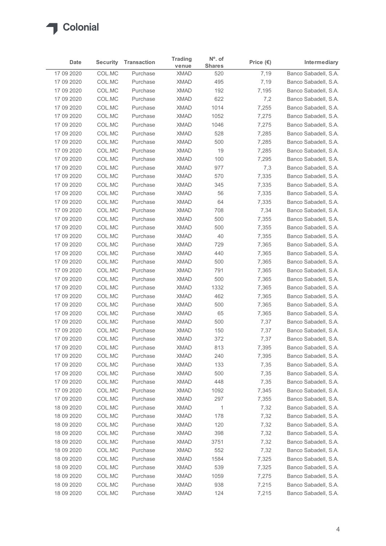

| $No$ . of<br><b>Trading</b><br><b>Security</b><br><b>Transaction</b><br>Price $(\epsilon)$<br>Intermediary<br>Date<br><b>Shares</b><br>venue<br>17 09 2020<br>COL.MC<br>7,19<br>Purchase<br><b>XMAD</b><br>520<br>17 09 2020<br>COL.MC<br>495<br>7,19<br>Purchase<br><b>XMAD</b><br>COL.MC<br><b>XMAD</b><br>192<br>17 09 2020<br>Purchase<br>7,195<br>17 09 2020<br>COL.MC<br><b>XMAD</b><br>622<br>7,2<br>Purchase<br>17 09 2020<br>COL.MC<br><b>XMAD</b><br>1014<br>7,255<br>Purchase<br>17 09 2020<br>COL.MC<br><b>XMAD</b><br>1052<br>7,275<br>Purchase<br>17 09 2020<br>COL.MC<br>1046<br>7,275<br>Purchase<br><b>XMAD</b><br><b>XMAD</b><br>528<br>17 09 2020<br>COL.MC<br>Purchase<br>7,285<br>17 09 2020<br>COL.MC<br><b>XMAD</b><br>500<br>7,285<br>Purchase<br>17 09 2020<br>COL.MC<br><b>XMAD</b><br>19<br>7,285<br>Purchase<br>17 09 2020<br>COL.MC<br><b>XMAD</b><br>100<br>7,295<br>Purchase<br><b>XMAD</b><br>977<br>7,3<br>17 09 2020<br>COL.MC<br>Purchase<br><b>XMAD</b><br>570<br>17 09 2020<br>COL.MC<br>Purchase<br>7,335<br>17 09 2020<br>COL.MC<br>Purchase<br><b>XMAD</b><br>345<br>7,335<br>17 09 2020<br><b>XMAD</b><br>56<br>7,335<br>COL.MC<br>Purchase<br>17 09 2020<br>COL.MC<br><b>XMAD</b><br>64<br>7,335<br>Purchase<br><b>XMAD</b><br>708<br>7,34<br>17 09 2020<br>COL.MC<br>Purchase<br><b>XMAD</b><br>500<br>17 09 2020<br>COL.MC<br>Purchase<br>7,355<br>COL.MC<br><b>XMAD</b><br>500<br>7,355<br>17 09 2020<br>Purchase<br><b>XMAD</b><br>40<br>7,355<br>17 09 2020<br>COL.MC<br>Purchase<br><b>XMAD</b><br>729<br>7,365<br>17 09 2020<br>COL.MC<br>Purchase<br>440<br>17 09 2020<br>COL.MC<br>Purchase<br><b>XMAD</b><br>7,365<br><b>XMAD</b><br>500<br>17 09 2020<br>COL.MC<br>Purchase<br>7,365<br><b>XMAD</b><br>791<br>7,365<br>17 09 2020<br>COL.MC<br>Purchase<br><b>XMAD</b><br>500<br>7,365<br>17 09 2020<br>COL.MC<br>Purchase<br><b>XMAD</b><br>1332<br>7,365<br>17 09 2020<br>COL.MC<br>Purchase<br><b>XMAD</b><br>462<br>17 09 2020<br>COL.MC<br>Purchase<br>7,365<br>COL.MC<br><b>XMAD</b><br>500<br>17 09 2020<br>Purchase<br>7,365<br><b>XMAD</b><br>65<br>17 09 2020<br>COL.MC<br>Purchase<br>7,365<br><b>XMAD</b><br>500<br>7,37<br>17 09 2020<br>COL.MC<br>Purchase<br><b>XMAD</b><br>150<br>7,37<br>17 09 2020<br>COL.MC<br>Purchase<br><b>XMAD</b><br>372<br>7,37<br>17 09 2020<br>COL.MC<br>Purchase<br><b>XMAD</b><br>813<br>7,395<br>17 09 2020<br>COL.MC<br>Purchase<br><b>XMAD</b><br>240<br>7,395<br>17 09 2020<br>COL.MC<br>Purchase<br><b>XMAD</b><br>133<br>7,35<br>17 09 2020<br>COL.MC<br>Purchase<br><b>XMAD</b><br>500<br>7,35<br>17 09 2020<br>COL.MC<br>Purchase<br><b>XMAD</b><br>448<br>17 09 2020<br>COL.MC<br>Purchase<br>7,35<br><b>XMAD</b><br>1092<br>17 09 2020<br>COL.MC<br>Purchase<br>7,345<br>17 09 2020<br>COL.MC<br><b>XMAD</b><br>297<br>7,355<br>Purchase<br><b>XMAD</b><br>7,32<br>18 09 2020<br>COL.MC<br>Purchase<br>$\mathbf{1}$<br><b>XMAD</b><br>178<br>7,32<br>18 09 2020<br>COL.MC<br>Purchase<br><b>XMAD</b><br>120<br>18 09 2020<br>COL.MC<br>7,32<br>Purchase<br><b>XMAD</b><br>398<br>18 09 2020<br>COL.MC<br>Purchase<br>7,32<br>18 09 2020<br><b>XMAD</b><br>3751<br>7,32<br>COL.MC<br>Purchase<br><b>XMAD</b><br>552<br>18 09 2020<br>COL.MC<br>Purchase<br>7,32<br><b>XMAD</b><br>1584<br>7,325<br>18 09 2020<br>COL.MC<br>Purchase<br><b>XMAD</b><br>539<br>18 09 2020<br>COL.MC<br>7,325<br>Purchase<br>XMAD<br>1059<br>7,275<br>Banco Sabadell, S.A.<br>18 09 2020<br>COL.MC<br>Purchase<br>18 09 2020<br>COL.MC<br>Purchase<br><b>XMAD</b><br>938<br>7,215<br>18 09 2020<br>COLMC<br><b>XMAD</b><br>124<br>7,215<br>Purchase |  |  |  |  |
|---------------------------------------------------------------------------------------------------------------------------------------------------------------------------------------------------------------------------------------------------------------------------------------------------------------------------------------------------------------------------------------------------------------------------------------------------------------------------------------------------------------------------------------------------------------------------------------------------------------------------------------------------------------------------------------------------------------------------------------------------------------------------------------------------------------------------------------------------------------------------------------------------------------------------------------------------------------------------------------------------------------------------------------------------------------------------------------------------------------------------------------------------------------------------------------------------------------------------------------------------------------------------------------------------------------------------------------------------------------------------------------------------------------------------------------------------------------------------------------------------------------------------------------------------------------------------------------------------------------------------------------------------------------------------------------------------------------------------------------------------------------------------------------------------------------------------------------------------------------------------------------------------------------------------------------------------------------------------------------------------------------------------------------------------------------------------------------------------------------------------------------------------------------------------------------------------------------------------------------------------------------------------------------------------------------------------------------------------------------------------------------------------------------------------------------------------------------------------------------------------------------------------------------------------------------------------------------------------------------------------------------------------------------------------------------------------------------------------------------------------------------------------------------------------------------------------------------------------------------------------------------------------------------------------------------------------------------------------------------------------------------------------------------------------------------------------------------------------------------------------------------------------------------------------------------------------------------------------------------------------------------------------------------------------------------------------------------------------------------------------------------------------------------------------------------------------------------------------------------------------------------------------------------------------------------------------------------------------------------------------------------------|--|--|--|--|
| Banco Sabadell, S.A.<br>Banco Sabadell, S.A.<br>Banco Sabadell, S.A.<br>Banco Sabadell, S.A.<br>Banco Sabadell, S.A.<br>Banco Sabadell, S.A.<br>Banco Sabadell, S.A.<br>Banco Sabadell, S.A.<br>Banco Sabadell, S.A.<br>Banco Sabadell, S.A.<br>Banco Sabadell, S.A.<br>Banco Sabadell, S.A.<br>Banco Sabadell, S.A.<br>Banco Sabadell, S.A.<br>Banco Sabadell, S.A.<br>Banco Sabadell, S.A.<br>Banco Sabadell, S.A.<br>Banco Sabadell, S.A.<br>Banco Sabadell, S.A.<br>Banco Sabadell, S.A.<br>Banco Sabadell, S.A.<br>Banco Sabadell, S.A.<br>Banco Sabadell, S.A.<br>Banco Sabadell, S.A.<br>Banco Sabadell, S.A.<br>Banco Sabadell, S.A.<br>Banco Sabadell, S.A.<br>Banco Sabadell, S.A.<br>Banco Sabadell, S.A.<br>Banco Sabadell, S.A.<br>Banco Sabadell, S.A.<br>Banco Sabadell, S.A.<br>Banco Sabadell, S.A.<br>Banco Sabadell, S.A.<br>Banco Sabadell, S.A.<br>Banco Sabadell, S.A.<br>Banco Sabadell, S.A.<br>Banco Sabadell, S.A.<br>Banco Sabadell, S.A.<br>Banco Sabadell, S.A.<br>Banco Sabadell, S.A.<br>Banco Sabadell, S.A.<br>Banco Sabadell, S.A.<br>Banco Sabadell, S.A.<br>Banco Sabadell, S.A.<br>Banco Sabadell, S.A.<br>Banco Sabadell, S.A.<br>Banco Sabadell, S.A.<br>Banco Sabadell, S.A.                                                                                                                                                                                                                                                                                                                                                                                                                                                                                                                                                                                                                                                                                                                                                                                                                                                                                                                                                                                                                                                                                                                                                                                                                                                                                                                                                                                                                                                                                                                                                                                                                                                                                                                                                                                                                                                                                                                                                                                                                                                                                                                                                                                                                                                                                                                                                                                                                        |  |  |  |  |
|                                                                                                                                                                                                                                                                                                                                                                                                                                                                                                                                                                                                                                                                                                                                                                                                                                                                                                                                                                                                                                                                                                                                                                                                                                                                                                                                                                                                                                                                                                                                                                                                                                                                                                                                                                                                                                                                                                                                                                                                                                                                                                                                                                                                                                                                                                                                                                                                                                                                                                                                                                                                                                                                                                                                                                                                                                                                                                                                                                                                                                                                                                                                                                                                                                                                                                                                                                                                                                                                                                                                                                                                                                             |  |  |  |  |
|                                                                                                                                                                                                                                                                                                                                                                                                                                                                                                                                                                                                                                                                                                                                                                                                                                                                                                                                                                                                                                                                                                                                                                                                                                                                                                                                                                                                                                                                                                                                                                                                                                                                                                                                                                                                                                                                                                                                                                                                                                                                                                                                                                                                                                                                                                                                                                                                                                                                                                                                                                                                                                                                                                                                                                                                                                                                                                                                                                                                                                                                                                                                                                                                                                                                                                                                                                                                                                                                                                                                                                                                                                             |  |  |  |  |
|                                                                                                                                                                                                                                                                                                                                                                                                                                                                                                                                                                                                                                                                                                                                                                                                                                                                                                                                                                                                                                                                                                                                                                                                                                                                                                                                                                                                                                                                                                                                                                                                                                                                                                                                                                                                                                                                                                                                                                                                                                                                                                                                                                                                                                                                                                                                                                                                                                                                                                                                                                                                                                                                                                                                                                                                                                                                                                                                                                                                                                                                                                                                                                                                                                                                                                                                                                                                                                                                                                                                                                                                                                             |  |  |  |  |
|                                                                                                                                                                                                                                                                                                                                                                                                                                                                                                                                                                                                                                                                                                                                                                                                                                                                                                                                                                                                                                                                                                                                                                                                                                                                                                                                                                                                                                                                                                                                                                                                                                                                                                                                                                                                                                                                                                                                                                                                                                                                                                                                                                                                                                                                                                                                                                                                                                                                                                                                                                                                                                                                                                                                                                                                                                                                                                                                                                                                                                                                                                                                                                                                                                                                                                                                                                                                                                                                                                                                                                                                                                             |  |  |  |  |
|                                                                                                                                                                                                                                                                                                                                                                                                                                                                                                                                                                                                                                                                                                                                                                                                                                                                                                                                                                                                                                                                                                                                                                                                                                                                                                                                                                                                                                                                                                                                                                                                                                                                                                                                                                                                                                                                                                                                                                                                                                                                                                                                                                                                                                                                                                                                                                                                                                                                                                                                                                                                                                                                                                                                                                                                                                                                                                                                                                                                                                                                                                                                                                                                                                                                                                                                                                                                                                                                                                                                                                                                                                             |  |  |  |  |
|                                                                                                                                                                                                                                                                                                                                                                                                                                                                                                                                                                                                                                                                                                                                                                                                                                                                                                                                                                                                                                                                                                                                                                                                                                                                                                                                                                                                                                                                                                                                                                                                                                                                                                                                                                                                                                                                                                                                                                                                                                                                                                                                                                                                                                                                                                                                                                                                                                                                                                                                                                                                                                                                                                                                                                                                                                                                                                                                                                                                                                                                                                                                                                                                                                                                                                                                                                                                                                                                                                                                                                                                                                             |  |  |  |  |
|                                                                                                                                                                                                                                                                                                                                                                                                                                                                                                                                                                                                                                                                                                                                                                                                                                                                                                                                                                                                                                                                                                                                                                                                                                                                                                                                                                                                                                                                                                                                                                                                                                                                                                                                                                                                                                                                                                                                                                                                                                                                                                                                                                                                                                                                                                                                                                                                                                                                                                                                                                                                                                                                                                                                                                                                                                                                                                                                                                                                                                                                                                                                                                                                                                                                                                                                                                                                                                                                                                                                                                                                                                             |  |  |  |  |
|                                                                                                                                                                                                                                                                                                                                                                                                                                                                                                                                                                                                                                                                                                                                                                                                                                                                                                                                                                                                                                                                                                                                                                                                                                                                                                                                                                                                                                                                                                                                                                                                                                                                                                                                                                                                                                                                                                                                                                                                                                                                                                                                                                                                                                                                                                                                                                                                                                                                                                                                                                                                                                                                                                                                                                                                                                                                                                                                                                                                                                                                                                                                                                                                                                                                                                                                                                                                                                                                                                                                                                                                                                             |  |  |  |  |
|                                                                                                                                                                                                                                                                                                                                                                                                                                                                                                                                                                                                                                                                                                                                                                                                                                                                                                                                                                                                                                                                                                                                                                                                                                                                                                                                                                                                                                                                                                                                                                                                                                                                                                                                                                                                                                                                                                                                                                                                                                                                                                                                                                                                                                                                                                                                                                                                                                                                                                                                                                                                                                                                                                                                                                                                                                                                                                                                                                                                                                                                                                                                                                                                                                                                                                                                                                                                                                                                                                                                                                                                                                             |  |  |  |  |
|                                                                                                                                                                                                                                                                                                                                                                                                                                                                                                                                                                                                                                                                                                                                                                                                                                                                                                                                                                                                                                                                                                                                                                                                                                                                                                                                                                                                                                                                                                                                                                                                                                                                                                                                                                                                                                                                                                                                                                                                                                                                                                                                                                                                                                                                                                                                                                                                                                                                                                                                                                                                                                                                                                                                                                                                                                                                                                                                                                                                                                                                                                                                                                                                                                                                                                                                                                                                                                                                                                                                                                                                                                             |  |  |  |  |
|                                                                                                                                                                                                                                                                                                                                                                                                                                                                                                                                                                                                                                                                                                                                                                                                                                                                                                                                                                                                                                                                                                                                                                                                                                                                                                                                                                                                                                                                                                                                                                                                                                                                                                                                                                                                                                                                                                                                                                                                                                                                                                                                                                                                                                                                                                                                                                                                                                                                                                                                                                                                                                                                                                                                                                                                                                                                                                                                                                                                                                                                                                                                                                                                                                                                                                                                                                                                                                                                                                                                                                                                                                             |  |  |  |  |
|                                                                                                                                                                                                                                                                                                                                                                                                                                                                                                                                                                                                                                                                                                                                                                                                                                                                                                                                                                                                                                                                                                                                                                                                                                                                                                                                                                                                                                                                                                                                                                                                                                                                                                                                                                                                                                                                                                                                                                                                                                                                                                                                                                                                                                                                                                                                                                                                                                                                                                                                                                                                                                                                                                                                                                                                                                                                                                                                                                                                                                                                                                                                                                                                                                                                                                                                                                                                                                                                                                                                                                                                                                             |  |  |  |  |
|                                                                                                                                                                                                                                                                                                                                                                                                                                                                                                                                                                                                                                                                                                                                                                                                                                                                                                                                                                                                                                                                                                                                                                                                                                                                                                                                                                                                                                                                                                                                                                                                                                                                                                                                                                                                                                                                                                                                                                                                                                                                                                                                                                                                                                                                                                                                                                                                                                                                                                                                                                                                                                                                                                                                                                                                                                                                                                                                                                                                                                                                                                                                                                                                                                                                                                                                                                                                                                                                                                                                                                                                                                             |  |  |  |  |
|                                                                                                                                                                                                                                                                                                                                                                                                                                                                                                                                                                                                                                                                                                                                                                                                                                                                                                                                                                                                                                                                                                                                                                                                                                                                                                                                                                                                                                                                                                                                                                                                                                                                                                                                                                                                                                                                                                                                                                                                                                                                                                                                                                                                                                                                                                                                                                                                                                                                                                                                                                                                                                                                                                                                                                                                                                                                                                                                                                                                                                                                                                                                                                                                                                                                                                                                                                                                                                                                                                                                                                                                                                             |  |  |  |  |
|                                                                                                                                                                                                                                                                                                                                                                                                                                                                                                                                                                                                                                                                                                                                                                                                                                                                                                                                                                                                                                                                                                                                                                                                                                                                                                                                                                                                                                                                                                                                                                                                                                                                                                                                                                                                                                                                                                                                                                                                                                                                                                                                                                                                                                                                                                                                                                                                                                                                                                                                                                                                                                                                                                                                                                                                                                                                                                                                                                                                                                                                                                                                                                                                                                                                                                                                                                                                                                                                                                                                                                                                                                             |  |  |  |  |
|                                                                                                                                                                                                                                                                                                                                                                                                                                                                                                                                                                                                                                                                                                                                                                                                                                                                                                                                                                                                                                                                                                                                                                                                                                                                                                                                                                                                                                                                                                                                                                                                                                                                                                                                                                                                                                                                                                                                                                                                                                                                                                                                                                                                                                                                                                                                                                                                                                                                                                                                                                                                                                                                                                                                                                                                                                                                                                                                                                                                                                                                                                                                                                                                                                                                                                                                                                                                                                                                                                                                                                                                                                             |  |  |  |  |
|                                                                                                                                                                                                                                                                                                                                                                                                                                                                                                                                                                                                                                                                                                                                                                                                                                                                                                                                                                                                                                                                                                                                                                                                                                                                                                                                                                                                                                                                                                                                                                                                                                                                                                                                                                                                                                                                                                                                                                                                                                                                                                                                                                                                                                                                                                                                                                                                                                                                                                                                                                                                                                                                                                                                                                                                                                                                                                                                                                                                                                                                                                                                                                                                                                                                                                                                                                                                                                                                                                                                                                                                                                             |  |  |  |  |
|                                                                                                                                                                                                                                                                                                                                                                                                                                                                                                                                                                                                                                                                                                                                                                                                                                                                                                                                                                                                                                                                                                                                                                                                                                                                                                                                                                                                                                                                                                                                                                                                                                                                                                                                                                                                                                                                                                                                                                                                                                                                                                                                                                                                                                                                                                                                                                                                                                                                                                                                                                                                                                                                                                                                                                                                                                                                                                                                                                                                                                                                                                                                                                                                                                                                                                                                                                                                                                                                                                                                                                                                                                             |  |  |  |  |
|                                                                                                                                                                                                                                                                                                                                                                                                                                                                                                                                                                                                                                                                                                                                                                                                                                                                                                                                                                                                                                                                                                                                                                                                                                                                                                                                                                                                                                                                                                                                                                                                                                                                                                                                                                                                                                                                                                                                                                                                                                                                                                                                                                                                                                                                                                                                                                                                                                                                                                                                                                                                                                                                                                                                                                                                                                                                                                                                                                                                                                                                                                                                                                                                                                                                                                                                                                                                                                                                                                                                                                                                                                             |  |  |  |  |
|                                                                                                                                                                                                                                                                                                                                                                                                                                                                                                                                                                                                                                                                                                                                                                                                                                                                                                                                                                                                                                                                                                                                                                                                                                                                                                                                                                                                                                                                                                                                                                                                                                                                                                                                                                                                                                                                                                                                                                                                                                                                                                                                                                                                                                                                                                                                                                                                                                                                                                                                                                                                                                                                                                                                                                                                                                                                                                                                                                                                                                                                                                                                                                                                                                                                                                                                                                                                                                                                                                                                                                                                                                             |  |  |  |  |
|                                                                                                                                                                                                                                                                                                                                                                                                                                                                                                                                                                                                                                                                                                                                                                                                                                                                                                                                                                                                                                                                                                                                                                                                                                                                                                                                                                                                                                                                                                                                                                                                                                                                                                                                                                                                                                                                                                                                                                                                                                                                                                                                                                                                                                                                                                                                                                                                                                                                                                                                                                                                                                                                                                                                                                                                                                                                                                                                                                                                                                                                                                                                                                                                                                                                                                                                                                                                                                                                                                                                                                                                                                             |  |  |  |  |
|                                                                                                                                                                                                                                                                                                                                                                                                                                                                                                                                                                                                                                                                                                                                                                                                                                                                                                                                                                                                                                                                                                                                                                                                                                                                                                                                                                                                                                                                                                                                                                                                                                                                                                                                                                                                                                                                                                                                                                                                                                                                                                                                                                                                                                                                                                                                                                                                                                                                                                                                                                                                                                                                                                                                                                                                                                                                                                                                                                                                                                                                                                                                                                                                                                                                                                                                                                                                                                                                                                                                                                                                                                             |  |  |  |  |
|                                                                                                                                                                                                                                                                                                                                                                                                                                                                                                                                                                                                                                                                                                                                                                                                                                                                                                                                                                                                                                                                                                                                                                                                                                                                                                                                                                                                                                                                                                                                                                                                                                                                                                                                                                                                                                                                                                                                                                                                                                                                                                                                                                                                                                                                                                                                                                                                                                                                                                                                                                                                                                                                                                                                                                                                                                                                                                                                                                                                                                                                                                                                                                                                                                                                                                                                                                                                                                                                                                                                                                                                                                             |  |  |  |  |
|                                                                                                                                                                                                                                                                                                                                                                                                                                                                                                                                                                                                                                                                                                                                                                                                                                                                                                                                                                                                                                                                                                                                                                                                                                                                                                                                                                                                                                                                                                                                                                                                                                                                                                                                                                                                                                                                                                                                                                                                                                                                                                                                                                                                                                                                                                                                                                                                                                                                                                                                                                                                                                                                                                                                                                                                                                                                                                                                                                                                                                                                                                                                                                                                                                                                                                                                                                                                                                                                                                                                                                                                                                             |  |  |  |  |
|                                                                                                                                                                                                                                                                                                                                                                                                                                                                                                                                                                                                                                                                                                                                                                                                                                                                                                                                                                                                                                                                                                                                                                                                                                                                                                                                                                                                                                                                                                                                                                                                                                                                                                                                                                                                                                                                                                                                                                                                                                                                                                                                                                                                                                                                                                                                                                                                                                                                                                                                                                                                                                                                                                                                                                                                                                                                                                                                                                                                                                                                                                                                                                                                                                                                                                                                                                                                                                                                                                                                                                                                                                             |  |  |  |  |
|                                                                                                                                                                                                                                                                                                                                                                                                                                                                                                                                                                                                                                                                                                                                                                                                                                                                                                                                                                                                                                                                                                                                                                                                                                                                                                                                                                                                                                                                                                                                                                                                                                                                                                                                                                                                                                                                                                                                                                                                                                                                                                                                                                                                                                                                                                                                                                                                                                                                                                                                                                                                                                                                                                                                                                                                                                                                                                                                                                                                                                                                                                                                                                                                                                                                                                                                                                                                                                                                                                                                                                                                                                             |  |  |  |  |
|                                                                                                                                                                                                                                                                                                                                                                                                                                                                                                                                                                                                                                                                                                                                                                                                                                                                                                                                                                                                                                                                                                                                                                                                                                                                                                                                                                                                                                                                                                                                                                                                                                                                                                                                                                                                                                                                                                                                                                                                                                                                                                                                                                                                                                                                                                                                                                                                                                                                                                                                                                                                                                                                                                                                                                                                                                                                                                                                                                                                                                                                                                                                                                                                                                                                                                                                                                                                                                                                                                                                                                                                                                             |  |  |  |  |
|                                                                                                                                                                                                                                                                                                                                                                                                                                                                                                                                                                                                                                                                                                                                                                                                                                                                                                                                                                                                                                                                                                                                                                                                                                                                                                                                                                                                                                                                                                                                                                                                                                                                                                                                                                                                                                                                                                                                                                                                                                                                                                                                                                                                                                                                                                                                                                                                                                                                                                                                                                                                                                                                                                                                                                                                                                                                                                                                                                                                                                                                                                                                                                                                                                                                                                                                                                                                                                                                                                                                                                                                                                             |  |  |  |  |
|                                                                                                                                                                                                                                                                                                                                                                                                                                                                                                                                                                                                                                                                                                                                                                                                                                                                                                                                                                                                                                                                                                                                                                                                                                                                                                                                                                                                                                                                                                                                                                                                                                                                                                                                                                                                                                                                                                                                                                                                                                                                                                                                                                                                                                                                                                                                                                                                                                                                                                                                                                                                                                                                                                                                                                                                                                                                                                                                                                                                                                                                                                                                                                                                                                                                                                                                                                                                                                                                                                                                                                                                                                             |  |  |  |  |
|                                                                                                                                                                                                                                                                                                                                                                                                                                                                                                                                                                                                                                                                                                                                                                                                                                                                                                                                                                                                                                                                                                                                                                                                                                                                                                                                                                                                                                                                                                                                                                                                                                                                                                                                                                                                                                                                                                                                                                                                                                                                                                                                                                                                                                                                                                                                                                                                                                                                                                                                                                                                                                                                                                                                                                                                                                                                                                                                                                                                                                                                                                                                                                                                                                                                                                                                                                                                                                                                                                                                                                                                                                             |  |  |  |  |
|                                                                                                                                                                                                                                                                                                                                                                                                                                                                                                                                                                                                                                                                                                                                                                                                                                                                                                                                                                                                                                                                                                                                                                                                                                                                                                                                                                                                                                                                                                                                                                                                                                                                                                                                                                                                                                                                                                                                                                                                                                                                                                                                                                                                                                                                                                                                                                                                                                                                                                                                                                                                                                                                                                                                                                                                                                                                                                                                                                                                                                                                                                                                                                                                                                                                                                                                                                                                                                                                                                                                                                                                                                             |  |  |  |  |
|                                                                                                                                                                                                                                                                                                                                                                                                                                                                                                                                                                                                                                                                                                                                                                                                                                                                                                                                                                                                                                                                                                                                                                                                                                                                                                                                                                                                                                                                                                                                                                                                                                                                                                                                                                                                                                                                                                                                                                                                                                                                                                                                                                                                                                                                                                                                                                                                                                                                                                                                                                                                                                                                                                                                                                                                                                                                                                                                                                                                                                                                                                                                                                                                                                                                                                                                                                                                                                                                                                                                                                                                                                             |  |  |  |  |
|                                                                                                                                                                                                                                                                                                                                                                                                                                                                                                                                                                                                                                                                                                                                                                                                                                                                                                                                                                                                                                                                                                                                                                                                                                                                                                                                                                                                                                                                                                                                                                                                                                                                                                                                                                                                                                                                                                                                                                                                                                                                                                                                                                                                                                                                                                                                                                                                                                                                                                                                                                                                                                                                                                                                                                                                                                                                                                                                                                                                                                                                                                                                                                                                                                                                                                                                                                                                                                                                                                                                                                                                                                             |  |  |  |  |
|                                                                                                                                                                                                                                                                                                                                                                                                                                                                                                                                                                                                                                                                                                                                                                                                                                                                                                                                                                                                                                                                                                                                                                                                                                                                                                                                                                                                                                                                                                                                                                                                                                                                                                                                                                                                                                                                                                                                                                                                                                                                                                                                                                                                                                                                                                                                                                                                                                                                                                                                                                                                                                                                                                                                                                                                                                                                                                                                                                                                                                                                                                                                                                                                                                                                                                                                                                                                                                                                                                                                                                                                                                             |  |  |  |  |
|                                                                                                                                                                                                                                                                                                                                                                                                                                                                                                                                                                                                                                                                                                                                                                                                                                                                                                                                                                                                                                                                                                                                                                                                                                                                                                                                                                                                                                                                                                                                                                                                                                                                                                                                                                                                                                                                                                                                                                                                                                                                                                                                                                                                                                                                                                                                                                                                                                                                                                                                                                                                                                                                                                                                                                                                                                                                                                                                                                                                                                                                                                                                                                                                                                                                                                                                                                                                                                                                                                                                                                                                                                             |  |  |  |  |
|                                                                                                                                                                                                                                                                                                                                                                                                                                                                                                                                                                                                                                                                                                                                                                                                                                                                                                                                                                                                                                                                                                                                                                                                                                                                                                                                                                                                                                                                                                                                                                                                                                                                                                                                                                                                                                                                                                                                                                                                                                                                                                                                                                                                                                                                                                                                                                                                                                                                                                                                                                                                                                                                                                                                                                                                                                                                                                                                                                                                                                                                                                                                                                                                                                                                                                                                                                                                                                                                                                                                                                                                                                             |  |  |  |  |
|                                                                                                                                                                                                                                                                                                                                                                                                                                                                                                                                                                                                                                                                                                                                                                                                                                                                                                                                                                                                                                                                                                                                                                                                                                                                                                                                                                                                                                                                                                                                                                                                                                                                                                                                                                                                                                                                                                                                                                                                                                                                                                                                                                                                                                                                                                                                                                                                                                                                                                                                                                                                                                                                                                                                                                                                                                                                                                                                                                                                                                                                                                                                                                                                                                                                                                                                                                                                                                                                                                                                                                                                                                             |  |  |  |  |
|                                                                                                                                                                                                                                                                                                                                                                                                                                                                                                                                                                                                                                                                                                                                                                                                                                                                                                                                                                                                                                                                                                                                                                                                                                                                                                                                                                                                                                                                                                                                                                                                                                                                                                                                                                                                                                                                                                                                                                                                                                                                                                                                                                                                                                                                                                                                                                                                                                                                                                                                                                                                                                                                                                                                                                                                                                                                                                                                                                                                                                                                                                                                                                                                                                                                                                                                                                                                                                                                                                                                                                                                                                             |  |  |  |  |
|                                                                                                                                                                                                                                                                                                                                                                                                                                                                                                                                                                                                                                                                                                                                                                                                                                                                                                                                                                                                                                                                                                                                                                                                                                                                                                                                                                                                                                                                                                                                                                                                                                                                                                                                                                                                                                                                                                                                                                                                                                                                                                                                                                                                                                                                                                                                                                                                                                                                                                                                                                                                                                                                                                                                                                                                                                                                                                                                                                                                                                                                                                                                                                                                                                                                                                                                                                                                                                                                                                                                                                                                                                             |  |  |  |  |
|                                                                                                                                                                                                                                                                                                                                                                                                                                                                                                                                                                                                                                                                                                                                                                                                                                                                                                                                                                                                                                                                                                                                                                                                                                                                                                                                                                                                                                                                                                                                                                                                                                                                                                                                                                                                                                                                                                                                                                                                                                                                                                                                                                                                                                                                                                                                                                                                                                                                                                                                                                                                                                                                                                                                                                                                                                                                                                                                                                                                                                                                                                                                                                                                                                                                                                                                                                                                                                                                                                                                                                                                                                             |  |  |  |  |
|                                                                                                                                                                                                                                                                                                                                                                                                                                                                                                                                                                                                                                                                                                                                                                                                                                                                                                                                                                                                                                                                                                                                                                                                                                                                                                                                                                                                                                                                                                                                                                                                                                                                                                                                                                                                                                                                                                                                                                                                                                                                                                                                                                                                                                                                                                                                                                                                                                                                                                                                                                                                                                                                                                                                                                                                                                                                                                                                                                                                                                                                                                                                                                                                                                                                                                                                                                                                                                                                                                                                                                                                                                             |  |  |  |  |
|                                                                                                                                                                                                                                                                                                                                                                                                                                                                                                                                                                                                                                                                                                                                                                                                                                                                                                                                                                                                                                                                                                                                                                                                                                                                                                                                                                                                                                                                                                                                                                                                                                                                                                                                                                                                                                                                                                                                                                                                                                                                                                                                                                                                                                                                                                                                                                                                                                                                                                                                                                                                                                                                                                                                                                                                                                                                                                                                                                                                                                                                                                                                                                                                                                                                                                                                                                                                                                                                                                                                                                                                                                             |  |  |  |  |
|                                                                                                                                                                                                                                                                                                                                                                                                                                                                                                                                                                                                                                                                                                                                                                                                                                                                                                                                                                                                                                                                                                                                                                                                                                                                                                                                                                                                                                                                                                                                                                                                                                                                                                                                                                                                                                                                                                                                                                                                                                                                                                                                                                                                                                                                                                                                                                                                                                                                                                                                                                                                                                                                                                                                                                                                                                                                                                                                                                                                                                                                                                                                                                                                                                                                                                                                                                                                                                                                                                                                                                                                                                             |  |  |  |  |
|                                                                                                                                                                                                                                                                                                                                                                                                                                                                                                                                                                                                                                                                                                                                                                                                                                                                                                                                                                                                                                                                                                                                                                                                                                                                                                                                                                                                                                                                                                                                                                                                                                                                                                                                                                                                                                                                                                                                                                                                                                                                                                                                                                                                                                                                                                                                                                                                                                                                                                                                                                                                                                                                                                                                                                                                                                                                                                                                                                                                                                                                                                                                                                                                                                                                                                                                                                                                                                                                                                                                                                                                                                             |  |  |  |  |
|                                                                                                                                                                                                                                                                                                                                                                                                                                                                                                                                                                                                                                                                                                                                                                                                                                                                                                                                                                                                                                                                                                                                                                                                                                                                                                                                                                                                                                                                                                                                                                                                                                                                                                                                                                                                                                                                                                                                                                                                                                                                                                                                                                                                                                                                                                                                                                                                                                                                                                                                                                                                                                                                                                                                                                                                                                                                                                                                                                                                                                                                                                                                                                                                                                                                                                                                                                                                                                                                                                                                                                                                                                             |  |  |  |  |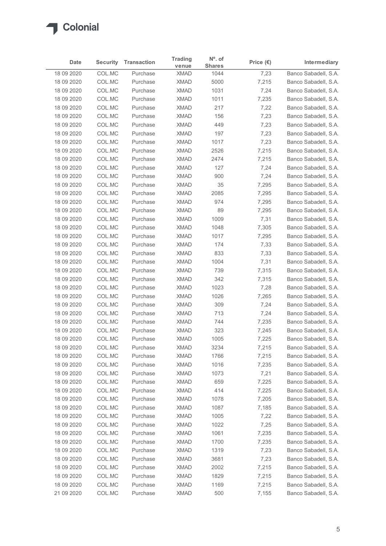

|                          | <b>Security</b>  | <b>Transaction</b>   | <b>Trading</b>             | $No$ . of     | Price $(\epsilon)$ | Intermediary                                 |
|--------------------------|------------------|----------------------|----------------------------|---------------|--------------------|----------------------------------------------|
| Date                     |                  |                      | venue                      | <b>Shares</b> |                    |                                              |
| 18 09 2020<br>18 09 2020 | COL.MC<br>COL.MC | Purchase<br>Purchase | <b>XMAD</b><br><b>XMAD</b> | 1044<br>5000  | 7,23<br>7,215      | Banco Sabadell, S.A.<br>Banco Sabadell, S.A. |
| 18 09 2020               | COL.MC           | Purchase             | <b>XMAD</b>                | 1031          | 7,24               | Banco Sabadell, S.A.                         |
| 18 09 2020               | COL.MC           | Purchase             | <b>XMAD</b>                | 1011          | 7,235              | Banco Sabadell, S.A.                         |
| 18 09 2020               | COL.MC           | Purchase             | <b>XMAD</b>                | 217           | 7,22               | Banco Sabadell, S.A.                         |
| 18 09 2020               | COL.MC           | Purchase             | <b>XMAD</b>                | 156           | 7,23               | Banco Sabadell, S.A.                         |
| 18 09 2020               | COL.MC           | Purchase             | <b>XMAD</b>                | 449           | 7,23               | Banco Sabadell, S.A.                         |
| 18 09 2020               | COL.MC           | Purchase             | <b>XMAD</b>                | 197           | 7,23               | Banco Sabadell, S.A.                         |
| 18 09 2020<br>18 09 2020 | COL.MC<br>COL.MC | Purchase<br>Purchase | <b>XMAD</b><br><b>XMAD</b> | 1017<br>2526  | 7,23<br>7,215      | Banco Sabadell, S.A.<br>Banco Sabadell, S.A. |
| 18 09 2020               | COL.MC           | Purchase             | <b>XMAD</b>                | 2474          | 7,215              | Banco Sabadell, S.A.                         |
| 18 09 2020               | COL.MC           | Purchase             | <b>XMAD</b>                | 127           | 7,24               | Banco Sabadell, S.A.                         |
| 18 09 2020               | COL.MC           | Purchase             | <b>XMAD</b>                | 900           | 7,24               | Banco Sabadell, S.A.                         |
| 18 09 2020               | COL.MC           | Purchase             | <b>XMAD</b>                | 35            | 7,295              | Banco Sabadell, S.A.                         |
| 18 09 2020               | COL.MC           | Purchase             | XMAD                       | 2085          | 7,295              | Banco Sabadell, S.A.                         |
| 18 09 2020               | COL.MC           | Purchase             | <b>XMAD</b>                | 974           | 7,295              | Banco Sabadell, S.A.                         |
| 18 09 2020               | COL.MC           | Purchase             | <b>XMAD</b>                | 89            | 7,295              | Banco Sabadell, S.A.                         |
| 18 09 2020<br>18 09 2020 | COL.MC<br>COL.MC | Purchase<br>Purchase | <b>XMAD</b><br><b>XMAD</b> | 1009<br>1048  | 7,31<br>7,305      | Banco Sabadell, S.A.<br>Banco Sabadell, S.A. |
| 18 09 2020               | COL.MC           | Purchase             | <b>XMAD</b>                | 1017          | 7,295              | Banco Sabadell, S.A.                         |
| 18 09 2020               | COL.MC           | Purchase             | <b>XMAD</b>                | 174           | 7,33               | Banco Sabadell, S.A.                         |
| 18 09 2020               | COL.MC           | Purchase             | <b>XMAD</b>                | 833           | 7,33               | Banco Sabadell, S.A.                         |
| 18 09 2020               | COL.MC           | Purchase             | <b>XMAD</b>                | 1004          | 7,31               | Banco Sabadell, S.A.                         |
| 18 09 2020               | COL.MC           | Purchase             | <b>XMAD</b>                | 739           | 7,315              | Banco Sabadell, S.A.                         |
| 18 09 2020               | COL.MC           | Purchase             | <b>XMAD</b>                | 342           | 7,315              | Banco Sabadell, S.A.                         |
| 18 09 2020               | COL.MC           | Purchase             | <b>XMAD</b>                | 1023          | 7,28               | Banco Sabadell, S.A.                         |
| 18 09 2020               | COL.MC           | Purchase             | <b>XMAD</b>                | 1026          | 7,265              | Banco Sabadell, S.A.                         |
| 18 09 2020               | COL.MC           | Purchase             | <b>XMAD</b>                | 309           | 7,24               | Banco Sabadell, S.A.                         |
| 18 09 2020<br>18 09 2020 | COL.MC<br>COL.MC | Purchase<br>Purchase | <b>XMAD</b><br><b>XMAD</b> | 713<br>744    | 7,24<br>7,235      | Banco Sabadell, S.A.<br>Banco Sabadell, S.A. |
| 18 09 2020               | COL.MC           | Purchase             | <b>XMAD</b>                | 323           | 7,245              | Banco Sabadell, S.A.                         |
| 18 09 2020               | COL.MC           | Purchase             | <b>XMAD</b>                | 1005          | 7,225              | Banco Sabadell, S.A.                         |
| 18 09 2020               | COL.MC           | Purchase             | <b>XMAD</b>                | 3234          | 7,215              | Banco Sabadell, S.A.                         |
| 18 09 2020               | COL.MC           | Purchase             | <b>XMAD</b>                | 1766          | 7,215              | Banco Sabadell, S.A.                         |
| 18 09 2020               | COL.MC           | Purchase             | <b>XMAD</b>                | 1016          | 7,235              | Banco Sabadell, S.A.                         |
| 18 09 2020               | COL.MC           | Purchase             | <b>XMAD</b>                | 1073          | 7,21               | Banco Sabadell, S.A.                         |
| 18 09 2020               | COL.MC           | Purchase             | <b>XMAD</b>                | 659           | 7,225              | Banco Sabadell, S.A.                         |
| 18 09 2020               | COL.MC           | Purchase             | <b>XMAD</b>                | 414           | 7,225              | Banco Sabadell, S.A.                         |
| 18 09 2020               | COL.MC           | Purchase             | <b>XMAD</b>                | 1078          | 7,205              | Banco Sabadell, S.A.                         |
| 18 09 2020<br>18 09 2020 | COL.MC<br>COL.MC | Purchase<br>Purchase | <b>XMAD</b><br><b>XMAD</b> | 1087<br>1005  | 7,185<br>7,22      | Banco Sabadell, S.A.<br>Banco Sabadell, S.A. |
| 18 09 2020               | COL.MC           | Purchase             | <b>XMAD</b>                | 1022          | 7,25               | Banco Sabadell, S.A.                         |
| 18 09 2020               | COL.MC           | Purchase             | <b>XMAD</b>                | 1061          | 7,235              | Banco Sabadell, S.A.                         |
| 18 09 2020               | COL.MC           | Purchase             | <b>XMAD</b>                | 1700          | 7,235              | Banco Sabadell, S.A.                         |
| 18 09 2020               | COL.MC           | Purchase             | <b>XMAD</b>                | 1319          | 7,23               | Banco Sabadell, S.A.                         |
| 18 09 2020               | COL.MC           | Purchase             | <b>XMAD</b>                | 3681          | 7,23               | Banco Sabadell, S.A.                         |
| 18 09 2020               | COL.MC           | Purchase             | <b>XMAD</b>                | 2002          | 7,215              | Banco Sabadell, S.A.                         |
| 18 09 2020               | COL.MC           | Purchase             | XMAD                       | 1829          | 7,215              | Banco Sabadell, S.A.                         |
|                          | COL.MC<br>COL.MC | Purchase             | <b>XMAD</b>                | 1169          | 7,215              | Banco Sabadell, S.A.                         |
| 18 09 2020<br>21 09 2020 |                  | Purchase             | <b>XMAD</b>                | 500           | 7,155              | Banco Sabadell, S.A.                         |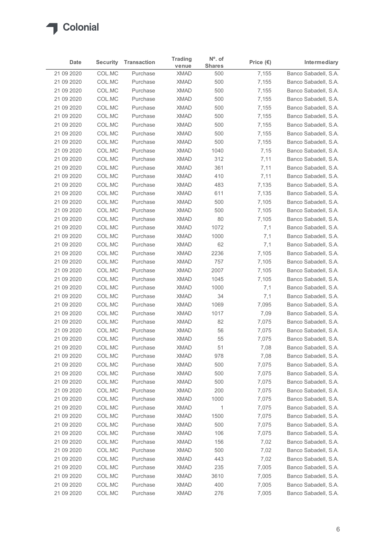

| Date                     |                  |                      | <b>Trading</b>             | $N^{\circ}$ . of |                    |                                              |
|--------------------------|------------------|----------------------|----------------------------|------------------|--------------------|----------------------------------------------|
|                          | <b>Security</b>  | <b>Transaction</b>   | venue                      | <b>Shares</b>    | Price $(\epsilon)$ | Intermediary                                 |
| 21 09 2020               | COL.MC           | Purchase             | <b>XMAD</b>                | 500              | 7,155              | Banco Sabadell, S.A.                         |
| 21 09 2020<br>21 09 2020 | COL.MC<br>COL.MC | Purchase<br>Purchase | <b>XMAD</b><br><b>XMAD</b> | 500<br>500       | 7,155<br>7,155     | Banco Sabadell, S.A.<br>Banco Sabadell, S.A. |
| 21 09 2020               | COL.MC           | Purchase             | <b>XMAD</b>                | 500              | 7,155              | Banco Sabadell, S.A.                         |
| 21 09 2020               | COL.MC           | Purchase             | <b>XMAD</b>                | 500              | 7,155              | Banco Sabadell, S.A.                         |
| 21 09 2020               | COL.MC           | Purchase             | <b>XMAD</b>                | 500              | 7,155              | Banco Sabadell, S.A.                         |
| 21 09 2020               | COL.MC           | Purchase             | <b>XMAD</b>                | 500              | 7,155              | Banco Sabadell, S.A.                         |
| 21 09 2020               | COL.MC           | Purchase             | <b>XMAD</b>                | 500              | 7,155              | Banco Sabadell, S.A.                         |
| 21 09 2020<br>21 09 2020 | COL.MC<br>COL.MC | Purchase<br>Purchase | <b>XMAD</b><br><b>XMAD</b> | 500<br>1040      | 7,155<br>7,15      | Banco Sabadell, S.A.<br>Banco Sabadell, S.A. |
| 21 09 2020               | COL.MC           | Purchase             | <b>XMAD</b>                | 312              | 7,11               | Banco Sabadell, S.A.                         |
| 21 09 2020               | COL.MC           | Purchase             | <b>XMAD</b>                | 361              | 7,11               | Banco Sabadell, S.A.                         |
| 21 09 2020               | COL.MC           | Purchase             | <b>XMAD</b>                | 410              | 7,11               | Banco Sabadell, S.A.                         |
| 21 09 2020               | COL.MC           | Purchase             | <b>XMAD</b>                | 483              | 7,135              | Banco Sabadell, S.A.                         |
| 21 09 2020               | COL.MC           | Purchase             | <b>XMAD</b>                | 611              | 7,135              | Banco Sabadell, S.A.                         |
| 21 09 2020               | COL.MC           | Purchase<br>Purchase | <b>XMAD</b>                | 500              | 7,105              | Banco Sabadell, S.A.                         |
| 21 09 2020<br>21 09 2020 | COL.MC<br>COL.MC | Purchase             | <b>XMAD</b><br><b>XMAD</b> | 500<br>80        | 7,105<br>7,105     | Banco Sabadell, S.A.<br>Banco Sabadell, S.A. |
| 21 09 2020               | COL.MC           | Purchase             | <b>XMAD</b>                | 1072             | 7,1                | Banco Sabadell, S.A.                         |
| 21 09 2020               | COL.MC           | Purchase             | <b>XMAD</b>                | 1000             | 7,1                | Banco Sabadell, S.A.                         |
| 21 09 2020               | COL.MC           | Purchase             | <b>XMAD</b>                | 62               | 7,1                | Banco Sabadell, S.A.                         |
| 21 09 2020               | COL.MC           | Purchase             | <b>XMAD</b>                | 2236             | 7,105              | Banco Sabadell, S.A.                         |
| 21 09 2020               | COL.MC           | Purchase             | <b>XMAD</b>                | 757              | 7,105              | Banco Sabadell, S.A.                         |
| 21 09 2020               | COL.MC           | Purchase             | <b>XMAD</b>                | 2007             | 7,105              | Banco Sabadell, S.A.                         |
| 21 09 2020<br>21 09 2020 | COL.MC<br>COL.MC | Purchase<br>Purchase | <b>XMAD</b><br><b>XMAD</b> | 1045<br>1000     | 7,105<br>7,1       | Banco Sabadell, S.A.<br>Banco Sabadell, S.A. |
| 21 09 2020               | COL.MC           | Purchase             | <b>XMAD</b>                | 34               | 7,1                | Banco Sabadell, S.A.                         |
| 21 09 2020               | COL.MC           | Purchase             | <b>XMAD</b>                | 1069             | 7,095              | Banco Sabadell, S.A.                         |
| 21 09 2020               | COL.MC           | Purchase             | <b>XMAD</b>                | 1017             | 7,09               | Banco Sabadell, S.A.                         |
| 21 09 2020               | COL.MC           | Purchase             | <b>XMAD</b>                | 82               | 7,075              | Banco Sabadell, S.A.                         |
| 21 09 2020               | COL.MC           | Purchase             | <b>XMAD</b>                | 56               | 7,075              | Banco Sabadell, S.A.                         |
| 21 09 2020               | COL.MC           | Purchase             | <b>XMAD</b>                | 55               | 7,075              | Banco Sabadell, S.A.                         |
| 21 09 2020<br>21 09 2020 | COL.MC<br>COL.MC | Purchase<br>Purchase | <b>XMAD</b><br><b>XMAD</b> | 51<br>978        | 7,08<br>7,08       | Banco Sabadell, S.A.<br>Banco Sabadell, S.A. |
| 21 09 2020               | COL.MC           | Purchase             | <b>XMAD</b>                | 500              | 7,075              | Banco Sabadell, S.A.                         |
| 21 09 2020               | COL.MC           | Purchase             | <b>XMAD</b>                | 500              | 7,075              | Banco Sabadell, S.A.                         |
| 21 09 2020               | COL.MC           | Purchase             | <b>XMAD</b>                | 500              | 7,075              | Banco Sabadell, S.A.                         |
| 21 09 2020               | COL.MC           | Purchase             | <b>XMAD</b>                | 200              | 7,075              | Banco Sabadell, S.A.                         |
| 21 09 2020               | COL.MC           | Purchase             | <b>XMAD</b>                | 1000             | 7,075              | Banco Sabadell, S.A.                         |
| 21 09 2020               | COL.MC           | Purchase             | <b>XMAD</b>                | 1                | 7,075              | Banco Sabadell, S.A.                         |
| 21 09 2020               | COL.MC           | Purchase             | <b>XMAD</b>                | 1500             | 7,075              | Banco Sabadell, S.A.                         |
| 21 09 2020               | COL.MC           | Purchase             | <b>XMAD</b>                | 500              | 7,075              | Banco Sabadell, S.A.                         |
| 21 09 2020               | COL.MC           | Purchase             | <b>XMAD</b>                | 106              | 7,075              | Banco Sabadell, S.A.                         |
| 21 09 2020               | COL.MC<br>COL.MC | Purchase<br>Purchase | <b>XMAD</b><br><b>XMAD</b> | 156<br>500       | 7,02<br>7,02       | Banco Sabadell, S.A.<br>Banco Sabadell, S.A. |
| 21 09 2020<br>21 09 2020 | COL.MC           | Purchase             | <b>XMAD</b>                | 443              | 7,02               | Banco Sabadell, S.A.                         |
| 21 09 2020               | COL.MC           | Purchase             | <b>XMAD</b>                | 235              | 7,005              | Banco Sabadell, S.A.                         |
| 21 09 2020               | COL.MC           | Purchase             | XMAD                       | 3610             | 7,005              | Banco Sabadell, S.A.                         |
| 21 09 2020               | COLMC            | Purchase             | <b>XMAD</b>                | 400              | 7,005              | Banco Sabadell, S.A.                         |
|                          | COLMC            | Purchase             | <b>XMAD</b>                | 276              | 7,005              | Banco Sabadell, S.A.                         |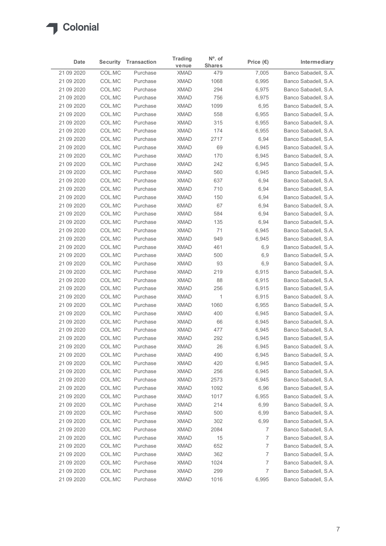| Date                     |                  |                      | <b>Trading</b>             | $No$ . of     |                                  |                                              |
|--------------------------|------------------|----------------------|----------------------------|---------------|----------------------------------|----------------------------------------------|
|                          | <b>Security</b>  | <b>Transaction</b>   | venue                      | <b>Shares</b> | Price $(\epsilon)$               | Intermediary                                 |
| 21 09 2020<br>21 09 2020 | COL.MC<br>COL.MC | Purchase<br>Purchase | <b>XMAD</b><br><b>XMAD</b> | 479<br>1068   | 7,005<br>6,995                   | Banco Sabadell, S.A.<br>Banco Sabadell, S.A. |
| 21 09 2020               | COL.MC           | Purchase             | <b>XMAD</b>                | 294           | 6,975                            | Banco Sabadell, S.A.                         |
| 21 09 2020               | COL.MC           | Purchase             | <b>XMAD</b>                | 756           | 6,975                            | Banco Sabadell, S.A.                         |
| 21 09 2020               | COL.MC           | Purchase             | <b>XMAD</b>                | 1099          | 6,95                             | Banco Sabadell, S.A.                         |
| 21 09 2020               | COL.MC           | Purchase             | <b>XMAD</b>                | 558           | 6,955                            | Banco Sabadell, S.A.                         |
| 21 09 2020               | COL.MC           | Purchase             | <b>XMAD</b>                | 315           | 6,955                            | Banco Sabadell, S.A.                         |
| 21 09 2020<br>21 09 2020 | COL.MC<br>COL.MC | Purchase<br>Purchase | <b>XMAD</b><br><b>XMAD</b> | 174<br>2717   | 6,955<br>6,94                    | Banco Sabadell, S.A.<br>Banco Sabadell, S.A. |
| 21 09 2020               | COL.MC           | Purchase             | <b>XMAD</b>                | 69            | 6,945                            | Banco Sabadell, S.A.                         |
| 21 09 2020               | COL.MC           | Purchase             | <b>XMAD</b>                | 170           | 6,945                            | Banco Sabadell, S.A.                         |
| 21 09 2020               | COL.MC           | Purchase             | <b>XMAD</b>                | 242           | 6,945                            | Banco Sabadell, S.A.                         |
| 21 09 2020               | COL.MC           | Purchase             | <b>XMAD</b>                | 560           | 6,945                            | Banco Sabadell, S.A.                         |
| 21 09 2020               | COL.MC           | Purchase             | <b>XMAD</b>                | 637           | 6,94                             | Banco Sabadell, S.A.                         |
| 21 09 2020               | COL.MC           | Purchase             | <b>XMAD</b>                | 710           | 6,94                             | Banco Sabadell, S.A.                         |
| 21 09 2020               | COL.MC           | Purchase             | <b>XMAD</b>                | 150           | 6,94                             | Banco Sabadell, S.A.                         |
| 21 09 2020               | COL.MC           | Purchase             | <b>XMAD</b>                | 67            | 6,94                             | Banco Sabadell, S.A.<br>Banco Sabadell, S.A. |
| 21 09 2020<br>21 09 2020 | COL.MC<br>COL.MC | Purchase<br>Purchase | <b>XMAD</b><br><b>XMAD</b> | 584<br>135    | 6,94<br>6,94                     | Banco Sabadell, S.A.                         |
| 21 09 2020               | COL.MC           | Purchase             | <b>XMAD</b>                | 71            | 6,945                            | Banco Sabadell, S.A.                         |
| 21 09 2020               | COL.MC           | Purchase             | <b>XMAD</b>                | 949           | 6,945                            | Banco Sabadell, S.A.                         |
| 21 09 2020               | COL.MC           | Purchase             | <b>XMAD</b>                | 461           | 6,9                              | Banco Sabadell, S.A.                         |
| 21 09 2020               | COL.MC           | Purchase             | <b>XMAD</b>                | 500           | 6,9                              | Banco Sabadell, S.A.                         |
| 21 09 2020               | COL.MC           | Purchase             | <b>XMAD</b>                | 93            | 6,9                              | Banco Sabadell, S.A.                         |
| 21 09 2020               | COL.MC           | Purchase             | <b>XMAD</b>                | 219           | 6,915                            | Banco Sabadell, S.A.                         |
| 21 09 2020               | COL.MC           | Purchase             | <b>XMAD</b>                | 88            | 6,915                            | Banco Sabadell, S.A.                         |
| 21 09 2020               | COL.MC           | Purchase             | <b>XMAD</b>                | 256           | 6,915                            | Banco Sabadell, S.A.                         |
| 21 09 2020<br>21 09 2020 | COL.MC<br>COL.MC | Purchase<br>Purchase | <b>XMAD</b><br><b>XMAD</b> | 1<br>1060     | 6,915<br>6,955                   | Banco Sabadell, S.A.<br>Banco Sabadell, S.A. |
| 21 09 2020               | COL.MC           | Purchase             | <b>XMAD</b>                | 400           | 6,945                            | Banco Sabadell, S.A.                         |
| 21 09 2020               | COL.MC           | Purchase             | <b>XMAD</b>                | 66            | 6,945                            | Banco Sabadell, S.A.                         |
| 21 09 2020               | COL.MC           | Purchase             | <b>XMAD</b>                | 477           | 6,945                            | Banco Sabadell, S.A.                         |
| 21 09 2020               | COL.MC           | Purchase             | <b>XMAD</b>                | 292           | 6,945                            | Banco Sabadell, S.A.                         |
| 21 09 2020               | COL.MC           | Purchase             | <b>XMAD</b>                | 26            | 6,945                            | Banco Sabadell, S.A.                         |
| 21 09 2020               | COL.MC           | Purchase             | <b>XMAD</b>                | 490           | 6,945                            | Banco Sabadell, S.A.                         |
| 21 09 2020               | COL.MC           | Purchase             | <b>XMAD</b>                | 420           | 6,945                            | Banco Sabadell, S.A.                         |
| 21 09 2020<br>21 09 2020 | COL.MC<br>COL.MC | Purchase<br>Purchase | <b>XMAD</b><br><b>XMAD</b> | 256<br>2573   | 6,945<br>6,945                   | Banco Sabadell, S.A.<br>Banco Sabadell, S.A. |
| 21 09 2020               | COL.MC           | Purchase             | <b>XMAD</b>                | 1092          | 6,96                             | Banco Sabadell, S.A.                         |
| 21 09 2020               | COL.MC           | Purchase             | <b>XMAD</b>                | 1017          | 6,955                            | Banco Sabadell, S.A.                         |
| 21 09 2020               | COL.MC           | Purchase             | <b>XMAD</b>                | 214           | 6,99                             | Banco Sabadell, S.A.                         |
| 21 09 2020               | COL.MC           | Purchase             | <b>XMAD</b>                | 500           | 6,99                             | Banco Sabadell, S.A.                         |
| 21 09 2020               | COL.MC           | Purchase             | <b>XMAD</b>                | 302           | 6,99                             | Banco Sabadell, S.A.                         |
| 21 09 2020               | COL.MC           | Purchase             | <b>XMAD</b>                | 2084          | 7                                | Banco Sabadell, S.A.                         |
| 21 09 2020               | COL.MC           | Purchase             | <b>XMAD</b>                | 15            | 7                                | Banco Sabadell, S.A.                         |
| 21 09 2020               | COL.MC           | Purchase             | <b>XMAD</b>                | 652           | $\overline{7}$                   | Banco Sabadell, S.A.                         |
| 21 09 2020               | COL.MC           | Purchase             | <b>XMAD</b><br><b>XMAD</b> | 362           | $\overline{7}$<br>$\overline{7}$ | Banco Sabadell, S.A.                         |
| 21 09 2020<br>21 09 2020 | COL.MC<br>COL.MC | Purchase<br>Purchase | <b>XMAD</b>                | 1024<br>299   | $\overline{7}$                   | Banco Sabadell, S.A.<br>Banco Sabadell, S.A. |
|                          | COL.MC           | Purchase             | <b>XMAD</b>                | 1016          | 6,995                            | Banco Sabadell, S.A.                         |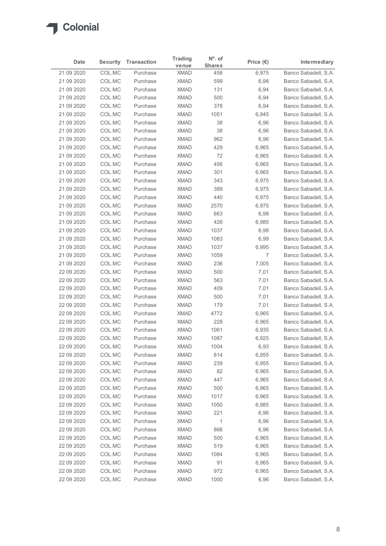# $\sqrt{2}$

| Date                     | Security         | <b>Transaction</b>   | <b>Trading</b>             | $No$ . of            | Price $(\epsilon)$ | Intermediary                                 |
|--------------------------|------------------|----------------------|----------------------------|----------------------|--------------------|----------------------------------------------|
| 21 09 2020               | COL.MC           | Purchase             | venue<br><b>XMAD</b>       | <b>Shares</b><br>458 | 6,975              | Banco Sabadell, S.A.                         |
| 21 09 2020               | COL.MC           | Purchase             | <b>XMAD</b>                | 599                  | 6,98               | Banco Sabadell, S.A.                         |
| 21 09 2020               | COL.MC           | Purchase             | <b>XMAD</b>                | 131                  | 6,94               | Banco Sabadell, S.A.                         |
| 21 09 2020               | COL.MC           | Purchase             | <b>XMAD</b>                | 500                  | 6,94               | Banco Sabadell, S.A.                         |
| 21 09 2020               | COL.MC           | Purchase             | <b>XMAD</b>                | 378                  | 6,94               | Banco Sabadell, S.A.                         |
| 21 09 2020               | COL.MC           | Purchase             | <b>XMAD</b>                | 1051                 | 6,945              | Banco Sabadell, S.A.                         |
| 21 09 2020<br>21 09 2020 | COL.MC<br>COL.MC | Purchase<br>Purchase | <b>XMAD</b><br><b>XMAD</b> | 38<br>38             | 6,96<br>6,96       | Banco Sabadell, S.A.<br>Banco Sabadell, S.A. |
| 21 09 2020               | COL.MC           | Purchase             | <b>XMAD</b>                | 962                  | 6,96               | Banco Sabadell, S.A.                         |
| 21 09 2020               | COL.MC           | Purchase             | <b>XMAD</b>                | 429                  | 6,965              | Banco Sabadell, S.A.                         |
| 21 09 2020               | COL.MC           | Purchase             | <b>XMAD</b>                | 72                   | 6,965              | Banco Sabadell, S.A.                         |
| 21 09 2020               | COL.MC           | Purchase             | <b>XMAD</b>                | 456                  | 6,965              | Banco Sabadell, S.A.                         |
| 21 09 2020               | COL.MC           | Purchase             | <b>XMAD</b>                | 301                  | 6,965              | Banco Sabadell, S.A.                         |
| 21 09 2020               | COL.MC           | Purchase             | <b>XMAD</b>                | 343                  | 6,975              | Banco Sabadell, S.A.                         |
| 21 09 2020<br>21 09 2020 | COL.MC<br>COL.MC | Purchase<br>Purchase | <b>XMAD</b><br><b>XMAD</b> | 389<br>440           | 6,975              | Banco Sabadell, S.A.<br>Banco Sabadell, S.A. |
| 21 09 2020               | COL.MC           | Purchase             | <b>XMAD</b>                | 2570                 | 6,975<br>6,975     | Banco Sabadell, S.A.                         |
| 21 09 2020               | COL.MC           | Purchase             | <b>XMAD</b>                | 663                  | 6,98               | Banco Sabadell, S.A.                         |
| 21 09 2020               | COL.MC           | Purchase             | <b>XMAD</b>                | 426                  | 6,985              | Banco Sabadell, S.A.                         |
| 21 09 2020               | COL.MC           | Purchase             | <b>XMAD</b>                | 1037                 | 6,98               | Banco Sabadell, S.A.                         |
| 21 09 2020               | COL.MC           | Purchase             | XMAD                       | 1083                 | 6,99               | Banco Sabadell, S.A.                         |
| 21 09 2020               | COL.MC           | Purchase             | <b>XMAD</b>                | 1037                 | 6,995              | Banco Sabadell, S.A.                         |
| 21 09 2020               | COL.MC           | Purchase             | <b>XMAD</b>                | 1059                 | 7                  | Banco Sabadell, S.A.                         |
| 21 09 2020               | COL.MC           | Purchase             | <b>XMAD</b>                | 236                  | 7,005              | Banco Sabadell, S.A.                         |
| 22 09 2020               | COL.MC           | Purchase             | <b>XMAD</b>                | 500                  | 7,01               | Banco Sabadell, S.A.                         |
| 22 09 2020<br>22 09 2020 | COL.MC<br>COL.MC | Purchase<br>Purchase | <b>XMAD</b><br><b>XMAD</b> | 563<br>409           | 7,01<br>7,01       | Banco Sabadell, S.A.<br>Banco Sabadell, S.A. |
| 22 09 2020               | COL.MC           | Purchase             | XMAD                       | 500                  | 7,01               | Banco Sabadell, S.A.                         |
| 22 09 2020               | COL.MC           | Purchase             | XMAD                       | 179                  | 7,01               | Banco Sabadell, S.A.                         |
| 22 09 2020               | COL.MC           | Purchase             | XMAD                       | 4772                 | 6,965              | Banco Sabadell, S.A.                         |
| 22 09 2020               | COL.MC           | Purchase             | <b>XMAD</b>                | 228                  | 6,965              | Banco Sabadell, S.A.                         |
| 22 09 2020               | COL.MC           | Purchase             | <b>XMAD</b>                | 1061                 | 6,935              | Banco Sabadell, S.A.                         |
| 22 09 2020               | COL.MC           | Purchase             | <b>XMAD</b>                | 1087                 | 6,925              | Banco Sabadell, S.A.                         |
| 22 09 2020               | COL.MC           | Purchase             | <b>XMAD</b>                | 1004                 | 6,93               | Banco Sabadell, S.A.                         |
| 22 09 2020               | COL.MC           | Purchase             | <b>XMAD</b><br>XMAD        | 814                  | 6,955              | Banco Sabadell, S.A.                         |
| 22 09 2020<br>22 09 2020 | COL.MC<br>COL.MC | Purchase<br>Purchase | <b>XMAD</b>                | 239<br>82            | 6,955<br>6,965     | Banco Sabadell, S.A.<br>Banco Sabadell, S.A. |
| 22 09 2020               | COL.MC           | Purchase             | <b>XMAD</b>                | 447                  | 6,965              | Banco Sabadell, S.A.                         |
| 22 09 2020               | COL.MC           | Purchase             | <b>XMAD</b>                | 500                  | 6,965              | Banco Sabadell, S.A.                         |
| 22 09 2020               | COL.MC           | Purchase             | <b>XMAD</b>                | 1017                 | 6,965              | Banco Sabadell, S.A.                         |
| 22 09 2020               | COL.MC           | Purchase             | <b>XMAD</b>                | 1050                 | 6,985              | Banco Sabadell, S.A.                         |
| 22 09 2020               | COL.MC           | Purchase             | <b>XMAD</b>                | 221                  | 6,96               | Banco Sabadell, S.A.                         |
| 22 09 2020               | COL.MC           | Purchase             | XMAD                       | $\overline{1}$       | 6,96               | Banco Sabadell, S.A.                         |
| 22 09 2020               | COL.MC           | Purchase             | XMAD                       | 866                  | 6,96               | Banco Sabadell, S.A.                         |
| 22 09 2020<br>22 09 2020 | COL.MC           | Purchase             | <b>XMAD</b><br><b>XMAD</b> | 500                  | 6,965              | Banco Sabadell, S.A.                         |
| 22 09 2020               | COL.MC<br>COL.MC | Purchase<br>Purchase | <b>XMAD</b>                | 519<br>1084          | 6,965<br>6,965     | Banco Sabadell, S.A.<br>Banco Sabadell, S.A. |
| 22 09 2020               | COL.MC           | Purchase             | <b>XMAD</b>                | 91                   | 6,965              | Banco Sabadell, S.A.                         |
| 22 09 2020               | COL.MC           | Purchase             | <b>XMAD</b>                | 972                  | 6,965              | Banco Sabadell, S.A.                         |
|                          | COLMC            | Purchase             | <b>XMAD</b>                | 1000                 | 6,96               | Banco Sabadell, S.A.                         |